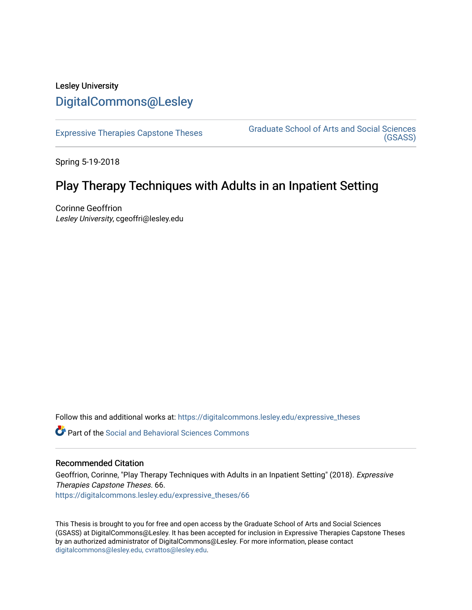# Lesley University [DigitalCommons@Lesley](https://digitalcommons.lesley.edu/)

[Expressive Therapies Capstone Theses](https://digitalcommons.lesley.edu/expressive_theses) Graduate School of Arts and Social Sciences [\(GSASS\)](https://digitalcommons.lesley.edu/gsass) 

Spring 5-19-2018

# Play Therapy Techniques with Adults in an Inpatient Setting

Corinne Geoffrion Lesley University, cgeoffri@lesley.edu

Follow this and additional works at: [https://digitalcommons.lesley.edu/expressive\\_theses](https://digitalcommons.lesley.edu/expressive_theses?utm_source=digitalcommons.lesley.edu%2Fexpressive_theses%2F66&utm_medium=PDF&utm_campaign=PDFCoverPages)

**C** Part of the Social and Behavioral Sciences Commons

## Recommended Citation

Geoffrion, Corinne, "Play Therapy Techniques with Adults in an Inpatient Setting" (2018). Expressive Therapies Capstone Theses. 66. [https://digitalcommons.lesley.edu/expressive\\_theses/66](https://digitalcommons.lesley.edu/expressive_theses/66?utm_source=digitalcommons.lesley.edu%2Fexpressive_theses%2F66&utm_medium=PDF&utm_campaign=PDFCoverPages) 

This Thesis is brought to you for free and open access by the Graduate School of Arts and Social Sciences (GSASS) at DigitalCommons@Lesley. It has been accepted for inclusion in Expressive Therapies Capstone Theses by an authorized administrator of DigitalCommons@Lesley. For more information, please contact [digitalcommons@lesley.edu, cvrattos@lesley.edu](mailto:digitalcommons@lesley.edu,%20cvrattos@lesley.edu).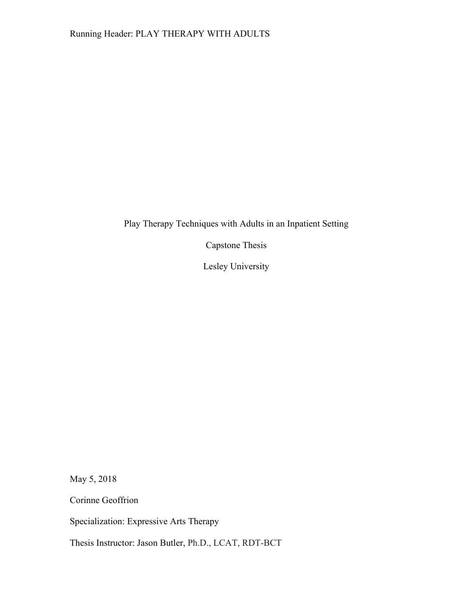Play Therapy Techniques with Adults in an Inpatient Setting

Capstone Thesis

Lesley University

May 5, 2018

Corinne Geoffrion

Specialization: Expressive Arts Therapy

Thesis Instructor: Jason Butler, Ph.D., LCAT, RDT-BCT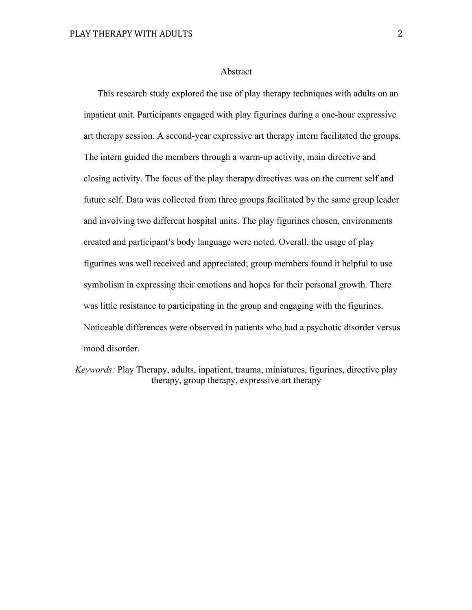#### Abstract

This research study explored the use of play therapy techniques with adults on an inpatient unit. Participants engaged with play figurines during a one-hour expressive art therapy session. A second-year expressive art therapy intern facilitated the groups. The intern guided the members through a warm-up activity, main directive and closing activity. The focus of the play therapy directives was on the current self and future self. Data was collected from three groups facilitated by the same group leader and involving two different hospital units. The play figurines chosen, environments created and participant's body language were noted. Overall, the usage of play figurines was well received and appreciated; group members found it helpful to use symbolism in expressing their emotions and hopes for their personal growth. There was little resistance to participating in the group and engaging with the figurines. Noticeable differences were observed in patients who had a psychotic disorder versus mood disorder.

*Keywords:* Play Therapy, adults, inpatient, trauma, miniatures, figurines, directive play therapy, group therapy, expressive art therapy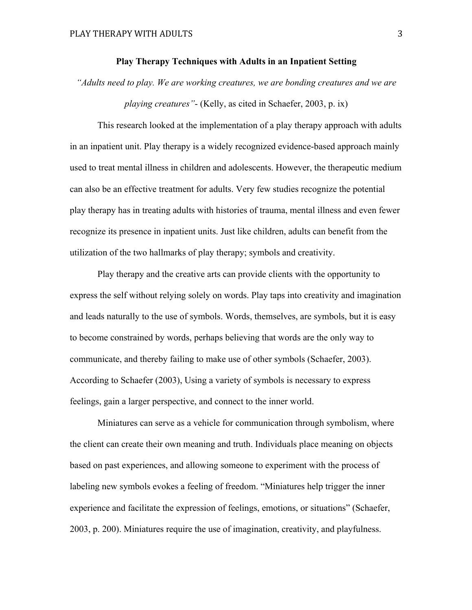#### **Play Therapy Techniques with Adults in an Inpatient Setting**

*"Adults need to play. We are working creatures, we are bonding creatures and we are playing creatures"*- (Kelly, as cited in Schaefer, 2003, p. ix)

This research looked at the implementation of a play therapy approach with adults in an inpatient unit. Play therapy is a widely recognized evidence-based approach mainly used to treat mental illness in children and adolescents. However, the therapeutic medium can also be an effective treatment for adults. Very few studies recognize the potential play therapy has in treating adults with histories of trauma, mental illness and even fewer recognize its presence in inpatient units. Just like children, adults can benefit from the utilization of the two hallmarks of play therapy; symbols and creativity.

Play therapy and the creative arts can provide clients with the opportunity to express the self without relying solely on words. Play taps into creativity and imagination and leads naturally to the use of symbols. Words, themselves, are symbols, but it is easy to become constrained by words, perhaps believing that words are the only way to communicate, and thereby failing to make use of other symbols (Schaefer, 2003). According to Schaefer (2003), Using a variety of symbols is necessary to express feelings, gain a larger perspective, and connect to the inner world.

Miniatures can serve as a vehicle for communication through symbolism, where the client can create their own meaning and truth. Individuals place meaning on objects based on past experiences, and allowing someone to experiment with the process of labeling new symbols evokes a feeling of freedom. "Miniatures help trigger the inner experience and facilitate the expression of feelings, emotions, or situations" (Schaefer, 2003, p. 200). Miniatures require the use of imagination, creativity, and playfulness.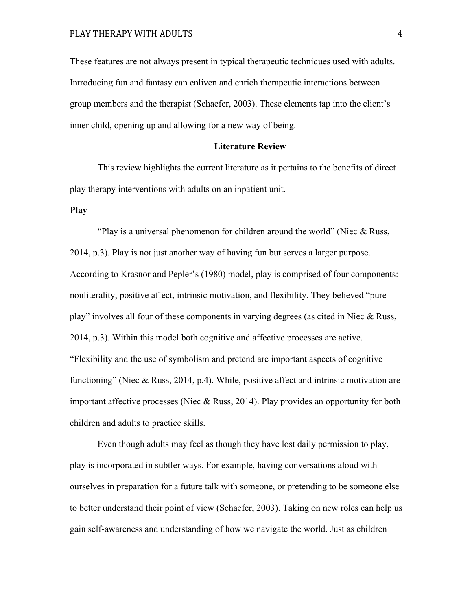These features are not always present in typical therapeutic techniques used with adults. Introducing fun and fantasy can enliven and enrich therapeutic interactions between group members and the therapist (Schaefer, 2003). These elements tap into the client's inner child, opening up and allowing for a new way of being.

#### **Literature Review**

This review highlights the current literature as it pertains to the benefits of direct play therapy interventions with adults on an inpatient unit.

## **Play**

"Play is a universal phenomenon for children around the world" (Niec  $\&$  Russ, 2014, p.3). Play is not just another way of having fun but serves a larger purpose. According to Krasnor and Pepler's (1980) model, play is comprised of four components: nonliterality, positive affect, intrinsic motivation, and flexibility. They believed "pure play" involves all four of these components in varying degrees (as cited in Niec & Russ, 2014, p.3). Within this model both cognitive and affective processes are active. "Flexibility and the use of symbolism and pretend are important aspects of cognitive functioning" (Niec & Russ, 2014, p.4). While, positive affect and intrinsic motivation are important affective processes (Niec & Russ, 2014). Play provides an opportunity for both children and adults to practice skills.

Even though adults may feel as though they have lost daily permission to play, play is incorporated in subtler ways. For example, having conversations aloud with ourselves in preparation for a future talk with someone, or pretending to be someone else to better understand their point of view (Schaefer, 2003). Taking on new roles can help us gain self-awareness and understanding of how we navigate the world. Just as children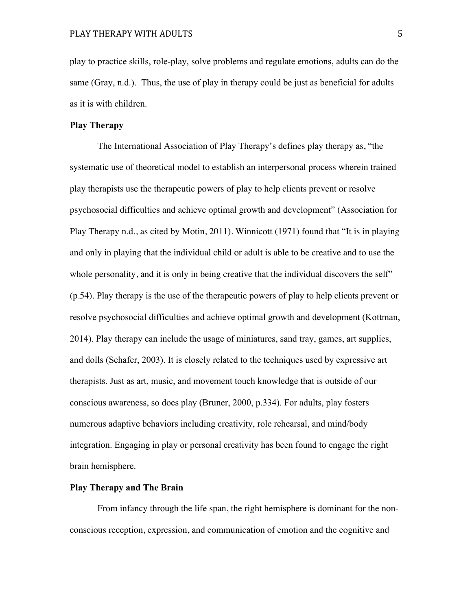play to practice skills, role-play, solve problems and regulate emotions, adults can do the same (Gray, n.d.). Thus, the use of play in therapy could be just as beneficial for adults as it is with children.

## **Play Therapy**

The International Association of Play Therapy's defines play therapy as, "the systematic use of theoretical model to establish an interpersonal process wherein trained play therapists use the therapeutic powers of play to help clients prevent or resolve psychosocial difficulties and achieve optimal growth and development" (Association for Play Therapy n.d., as cited by Motin, 2011). Winnicott (1971) found that "It is in playing and only in playing that the individual child or adult is able to be creative and to use the whole personality, and it is only in being creative that the individual discovers the self" (p.54). Play therapy is the use of the therapeutic powers of play to help clients prevent or resolve psychosocial difficulties and achieve optimal growth and development (Kottman, 2014). Play therapy can include the usage of miniatures, sand tray, games, art supplies, and dolls (Schafer, 2003). It is closely related to the techniques used by expressive art therapists. Just as art, music, and movement touch knowledge that is outside of our conscious awareness, so does play (Bruner, 2000, p.334). For adults, play fosters numerous adaptive behaviors including creativity, role rehearsal, and mind/body integration. Engaging in play or personal creativity has been found to engage the right brain hemisphere.

# **Play Therapy and The Brain**

From infancy through the life span, the right hemisphere is dominant for the nonconscious reception, expression, and communication of emotion and the cognitive and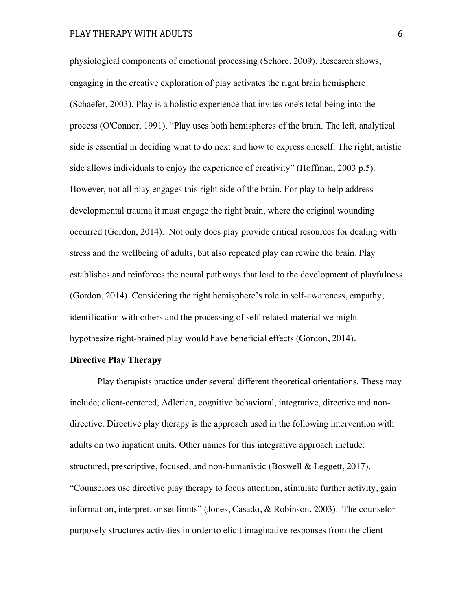physiological components of emotional processing (Schore, 2009). Research shows, engaging in the creative exploration of play activates the right brain hemisphere (Schaefer, 2003). Play is a holistic experience that invites one's total being into the process (O'Connor, 1991). "Play uses both hemispheres of the brain. The left, analytical side is essential in deciding what to do next and how to express oneself. The right, artistic side allows individuals to enjoy the experience of creativity" (Hoffman, 2003 p.5). However, not all play engages this right side of the brain. For play to help address developmental trauma it must engage the right brain, where the original wounding occurred (Gordon, 2014). Not only does play provide critical resources for dealing with stress and the wellbeing of adults, but also repeated play can rewire the brain. Play establishes and reinforces the neural pathways that lead to the development of playfulness (Gordon, 2014). Considering the right hemisphere's role in self-awareness, empathy, identification with others and the processing of self-related material we might hypothesize right-brained play would have beneficial effects (Gordon, 2014).

# **Directive Play Therapy**

Play therapists practice under several different theoretical orientations. These may include; client-centered, Adlerian, cognitive behavioral, integrative, directive and nondirective. Directive play therapy is the approach used in the following intervention with adults on two inpatient units. Other names for this integrative approach include: structured, prescriptive, focused, and non-humanistic (Boswell & Leggett, 2017). "Counselors use directive play therapy to focus attention, stimulate further activity, gain information, interpret, or set limits" (Jones, Casado, & Robinson, 2003). The counselor purposely structures activities in order to elicit imaginative responses from the client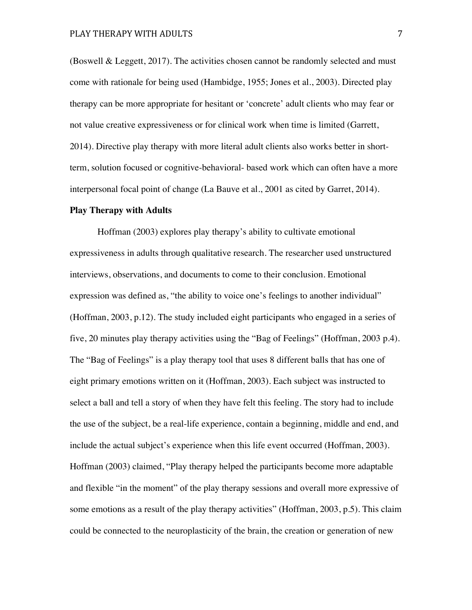(Boswell & Leggett, 2017). The activities chosen cannot be randomly selected and must come with rationale for being used (Hambidge, 1955; Jones et al., 2003). Directed play therapy can be more appropriate for hesitant or 'concrete' adult clients who may fear or not value creative expressiveness or for clinical work when time is limited (Garrett, 2014). Directive play therapy with more literal adult clients also works better in shortterm, solution focused or cognitive-behavioral- based work which can often have a more interpersonal focal point of change (La Bauve et al., 2001 as cited by Garret, 2014).

#### **Play Therapy with Adults**

Hoffman (2003) explores play therapy's ability to cultivate emotional expressiveness in adults through qualitative research. The researcher used unstructured interviews, observations, and documents to come to their conclusion. Emotional expression was defined as, "the ability to voice one's feelings to another individual" (Hoffman, 2003, p.12). The study included eight participants who engaged in a series of five, 20 minutes play therapy activities using the "Bag of Feelings" (Hoffman, 2003 p.4). The "Bag of Feelings" is a play therapy tool that uses 8 different balls that has one of eight primary emotions written on it (Hoffman, 2003). Each subject was instructed to select a ball and tell a story of when they have felt this feeling. The story had to include the use of the subject, be a real-life experience, contain a beginning, middle and end, and include the actual subject's experience when this life event occurred (Hoffman, 2003). Hoffman (2003) claimed, "Play therapy helped the participants become more adaptable and flexible "in the moment" of the play therapy sessions and overall more expressive of some emotions as a result of the play therapy activities" (Hoffman, 2003, p.5). This claim could be connected to the neuroplasticity of the brain, the creation or generation of new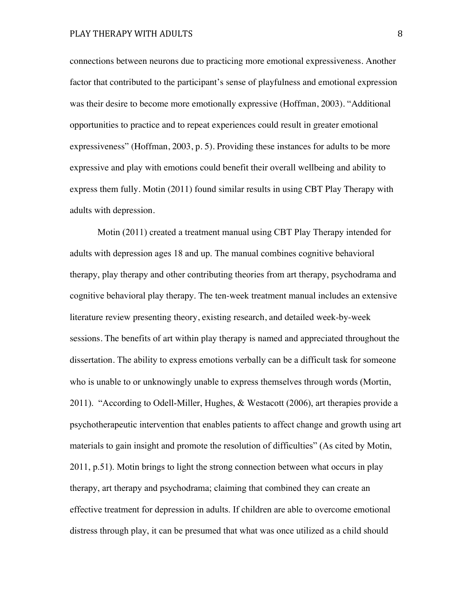connections between neurons due to practicing more emotional expressiveness. Another factor that contributed to the participant's sense of playfulness and emotional expression was their desire to become more emotionally expressive (Hoffman, 2003). "Additional opportunities to practice and to repeat experiences could result in greater emotional expressiveness" (Hoffman, 2003, p. 5). Providing these instances for adults to be more expressive and play with emotions could benefit their overall wellbeing and ability to express them fully. Motin (2011) found similar results in using CBT Play Therapy with adults with depression.

Motin (2011) created a treatment manual using CBT Play Therapy intended for adults with depression ages 18 and up. The manual combines cognitive behavioral therapy, play therapy and other contributing theories from art therapy, psychodrama and cognitive behavioral play therapy. The ten-week treatment manual includes an extensive literature review presenting theory, existing research, and detailed week-by-week sessions. The benefits of art within play therapy is named and appreciated throughout the dissertation. The ability to express emotions verbally can be a difficult task for someone who is unable to or unknowingly unable to express themselves through words (Mortin, 2011). "According to Odell-Miller, Hughes, & Westacott (2006), art therapies provide a psychotherapeutic intervention that enables patients to affect change and growth using art materials to gain insight and promote the resolution of difficulties" (As cited by Motin, 2011, p.51). Motin brings to light the strong connection between what occurs in play therapy, art therapy and psychodrama; claiming that combined they can create an effective treatment for depression in adults. If children are able to overcome emotional distress through play, it can be presumed that what was once utilized as a child should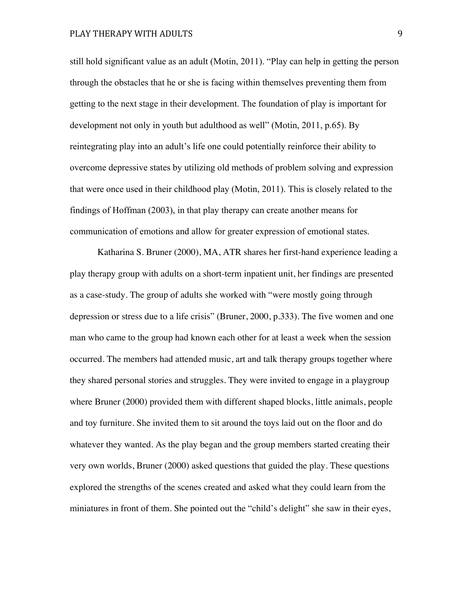still hold significant value as an adult (Motin, 2011). "Play can help in getting the person through the obstacles that he or she is facing within themselves preventing them from getting to the next stage in their development. The foundation of play is important for development not only in youth but adulthood as well" (Motin, 2011, p.65). By reintegrating play into an adult's life one could potentially reinforce their ability to overcome depressive states by utilizing old methods of problem solving and expression that were once used in their childhood play (Motin, 2011). This is closely related to the findings of Hoffman (2003), in that play therapy can create another means for communication of emotions and allow for greater expression of emotional states.

Katharina S. Bruner (2000), MA, ATR shares her first-hand experience leading a play therapy group with adults on a short-term inpatient unit, her findings are presented as a case-study. The group of adults she worked with "were mostly going through depression or stress due to a life crisis" (Bruner, 2000, p.333). The five women and one man who came to the group had known each other for at least a week when the session occurred. The members had attended music, art and talk therapy groups together where they shared personal stories and struggles. They were invited to engage in a playgroup where Bruner (2000) provided them with different shaped blocks, little animals, people and toy furniture. She invited them to sit around the toys laid out on the floor and do whatever they wanted. As the play began and the group members started creating their very own worlds, Bruner (2000) asked questions that guided the play. These questions explored the strengths of the scenes created and asked what they could learn from the miniatures in front of them. She pointed out the "child's delight" she saw in their eyes,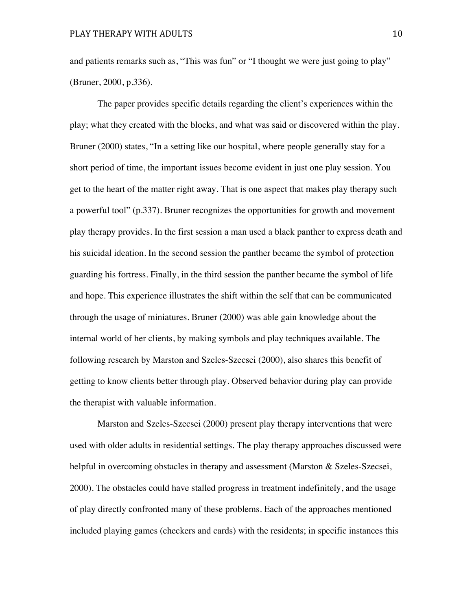and patients remarks such as, "This was fun" or "I thought we were just going to play" (Bruner, 2000, p.336).

The paper provides specific details regarding the client's experiences within the play; what they created with the blocks, and what was said or discovered within the play. Bruner (2000) states, "In a setting like our hospital, where people generally stay for a short period of time, the important issues become evident in just one play session. You get to the heart of the matter right away. That is one aspect that makes play therapy such a powerful tool" (p.337). Bruner recognizes the opportunities for growth and movement play therapy provides. In the first session a man used a black panther to express death and his suicidal ideation. In the second session the panther became the symbol of protection guarding his fortress. Finally, in the third session the panther became the symbol of life and hope. This experience illustrates the shift within the self that can be communicated through the usage of miniatures. Bruner (2000) was able gain knowledge about the internal world of her clients, by making symbols and play techniques available. The following research by Marston and Szeles-Szecsei (2000), also shares this benefit of getting to know clients better through play. Observed behavior during play can provide the therapist with valuable information.

Marston and Szeles-Szecsei (2000) present play therapy interventions that were used with older adults in residential settings. The play therapy approaches discussed were helpful in overcoming obstacles in therapy and assessment (Marston & Szeles-Szecsei, 2000). The obstacles could have stalled progress in treatment indefinitely, and the usage of play directly confronted many of these problems. Each of the approaches mentioned included playing games (checkers and cards) with the residents; in specific instances this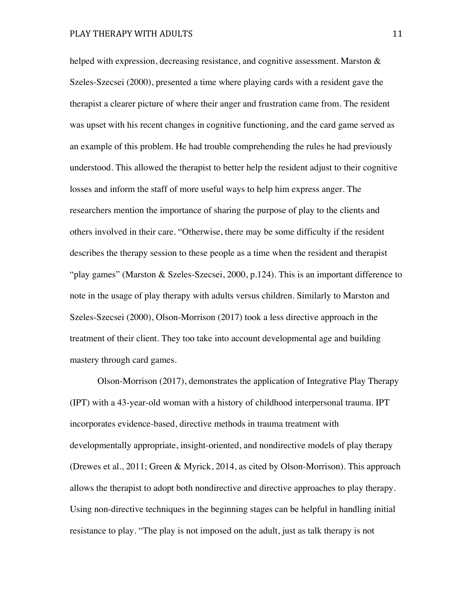helped with expression, decreasing resistance, and cognitive assessment. Marston & Szeles-Szecsei (2000), presented a time where playing cards with a resident gave the therapist a clearer picture of where their anger and frustration came from. The resident was upset with his recent changes in cognitive functioning, and the card game served as an example of this problem. He had trouble comprehending the rules he had previously understood. This allowed the therapist to better help the resident adjust to their cognitive losses and inform the staff of more useful ways to help him express anger. The researchers mention the importance of sharing the purpose of play to the clients and others involved in their care. "Otherwise, there may be some difficulty if the resident describes the therapy session to these people as a time when the resident and therapist "play games" (Marston & Szeles-Szecsei, 2000, p.124). This is an important difference to note in the usage of play therapy with adults versus children. Similarly to Marston and Szeles-Szecsei (2000), Olson-Morrison (2017) took a less directive approach in the treatment of their client. They too take into account developmental age and building mastery through card games.

Olson-Morrison (2017), demonstrates the application of Integrative Play Therapy (IPT) with a 43-year-old woman with a history of childhood interpersonal trauma. IPT incorporates evidence-based, directive methods in trauma treatment with developmentally appropriate, insight-oriented, and nondirective models of play therapy (Drewes et al., 2011; Green & Myrick, 2014, as cited by Olson-Morrison). This approach allows the therapist to adopt both nondirective and directive approaches to play therapy. Using non-directive techniques in the beginning stages can be helpful in handling initial resistance to play. "The play is not imposed on the adult, just as talk therapy is not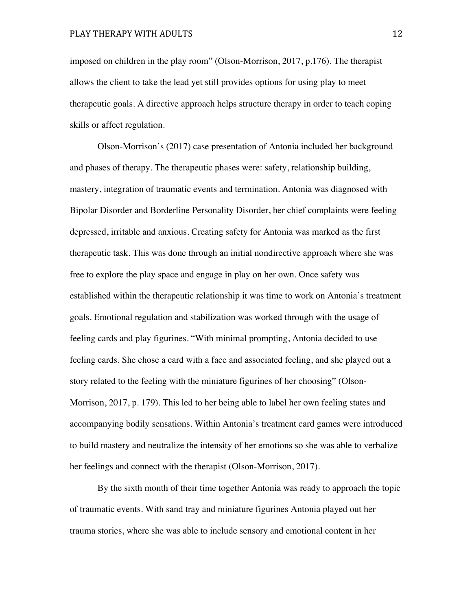imposed on children in the play room" (Olson-Morrison, 2017, p.176). The therapist allows the client to take the lead yet still provides options for using play to meet therapeutic goals. A directive approach helps structure therapy in order to teach coping skills or affect regulation.

Olson-Morrison's (2017) case presentation of Antonia included her background and phases of therapy. The therapeutic phases were: safety, relationship building, mastery, integration of traumatic events and termination. Antonia was diagnosed with Bipolar Disorder and Borderline Personality Disorder, her chief complaints were feeling depressed, irritable and anxious. Creating safety for Antonia was marked as the first therapeutic task. This was done through an initial nondirective approach where she was free to explore the play space and engage in play on her own. Once safety was established within the therapeutic relationship it was time to work on Antonia's treatment goals. Emotional regulation and stabilization was worked through with the usage of feeling cards and play figurines. "With minimal prompting, Antonia decided to use feeling cards. She chose a card with a face and associated feeling, and she played out a story related to the feeling with the miniature figurines of her choosing" (Olson-Morrison, 2017, p. 179). This led to her being able to label her own feeling states and accompanying bodily sensations. Within Antonia's treatment card games were introduced to build mastery and neutralize the intensity of her emotions so she was able to verbalize her feelings and connect with the therapist (Olson-Morrison, 2017).

By the sixth month of their time together Antonia was ready to approach the topic of traumatic events. With sand tray and miniature figurines Antonia played out her trauma stories, where she was able to include sensory and emotional content in her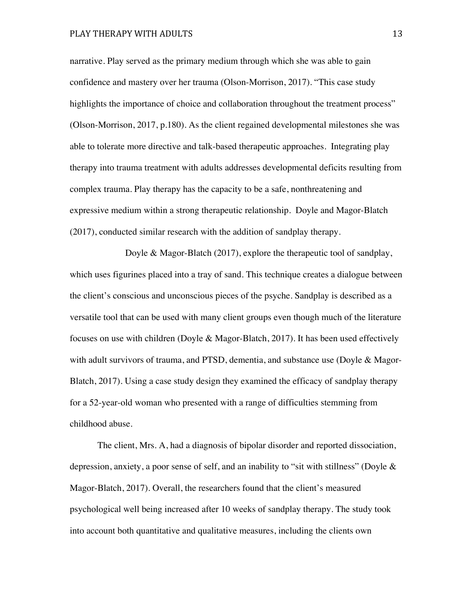narrative. Play served as the primary medium through which she was able to gain confidence and mastery over her trauma (Olson-Morrison, 2017). "This case study highlights the importance of choice and collaboration throughout the treatment process" (Olson-Morrison, 2017, p.180). As the client regained developmental milestones she was able to tolerate more directive and talk-based therapeutic approaches. Integrating play therapy into trauma treatment with adults addresses developmental deficits resulting from complex trauma. Play therapy has the capacity to be a safe, nonthreatening and expressive medium within a strong therapeutic relationship. Doyle and Magor-Blatch (2017), conducted similar research with the addition of sandplay therapy.

Doyle & Magor-Blatch (2017), explore the therapeutic tool of sandplay, which uses figurines placed into a tray of sand. This technique creates a dialogue between the client's conscious and unconscious pieces of the psyche. Sandplay is described as a versatile tool that can be used with many client groups even though much of the literature focuses on use with children (Doyle & Magor-Blatch, 2017). It has been used effectively with adult survivors of trauma, and PTSD, dementia, and substance use (Doyle & Magor-Blatch, 2017). Using a case study design they examined the efficacy of sandplay therapy for a 52-year-old woman who presented with a range of difficulties stemming from childhood abuse.

The client, Mrs. A, had a diagnosis of bipolar disorder and reported dissociation, depression, anxiety, a poor sense of self, and an inability to "sit with stillness" (Doyle & Magor-Blatch, 2017). Overall, the researchers found that the client's measured psychological well being increased after 10 weeks of sandplay therapy. The study took into account both quantitative and qualitative measures, including the clients own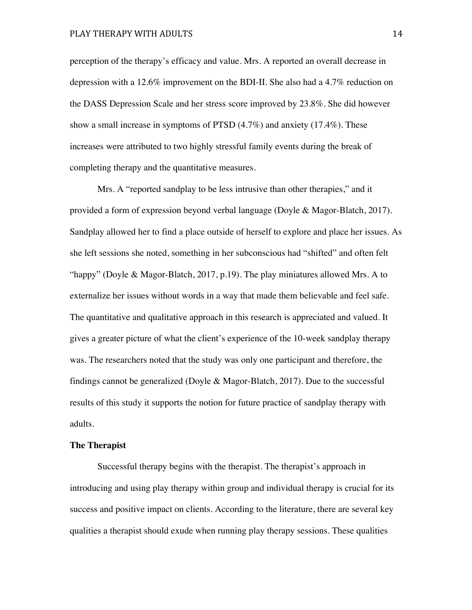perception of the therapy's efficacy and value. Mrs. A reported an overall decrease in depression with a 12.6% improvement on the BDI-II. She also had a 4.7% reduction on the DASS Depression Scale and her stress score improved by 23.8%. She did however show a small increase in symptoms of PTSD (4.7%) and anxiety (17.4%). These increases were attributed to two highly stressful family events during the break of completing therapy and the quantitative measures.

Mrs. A "reported sandplay to be less intrusive than other therapies," and it provided a form of expression beyond verbal language (Doyle & Magor-Blatch, 2017). Sandplay allowed her to find a place outside of herself to explore and place her issues. As she left sessions she noted, something in her subconscious had "shifted" and often felt "happy" (Doyle & Magor-Blatch, 2017, p.19). The play miniatures allowed Mrs. A to externalize her issues without words in a way that made them believable and feel safe. The quantitative and qualitative approach in this research is appreciated and valued. It gives a greater picture of what the client's experience of the 10-week sandplay therapy was. The researchers noted that the study was only one participant and therefore, the findings cannot be generalized (Doyle & Magor-Blatch, 2017). Due to the successful results of this study it supports the notion for future practice of sandplay therapy with adults.

#### **The Therapist**

Successful therapy begins with the therapist. The therapist's approach in introducing and using play therapy within group and individual therapy is crucial for its success and positive impact on clients. According to the literature, there are several key qualities a therapist should exude when running play therapy sessions. These qualities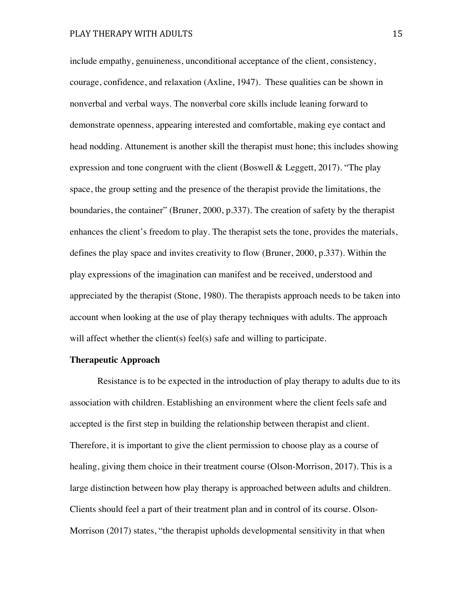include empathy, genuineness, unconditional acceptance of the client, consistency, courage, confidence, and relaxation (Axline, 1947). These qualities can be shown in nonverbal and verbal ways. The nonverbal core skills include leaning forward to demonstrate openness, appearing interested and comfortable, making eye contact and head nodding. Attunement is another skill the therapist must hone; this includes showing expression and tone congruent with the client (Boswell & Leggett, 2017). "The play space, the group setting and the presence of the therapist provide the limitations, the boundaries, the container" (Bruner, 2000, p.337). The creation of safety by the therapist enhances the client's freedom to play. The therapist sets the tone, provides the materials, defines the play space and invites creativity to flow (Bruner, 2000, p.337). Within the play expressions of the imagination can manifest and be received, understood and appreciated by the therapist (Stone, 1980). The therapists approach needs to be taken into account when looking at the use of play therapy techniques with adults. The approach will affect whether the client(s) feel(s) safe and willing to participate.

## **Therapeutic Approach**

Resistance is to be expected in the introduction of play therapy to adults due to its association with children. Establishing an environment where the client feels safe and accepted is the first step in building the relationship between therapist and client. Therefore, it is important to give the client permission to choose play as a course of healing, giving them choice in their treatment course (Olson-Morrison, 2017). This is a large distinction between how play therapy is approached between adults and children. Clients should feel a part of their treatment plan and in control of its course. Olson-Morrison (2017) states, "the therapist upholds developmental sensitivity in that when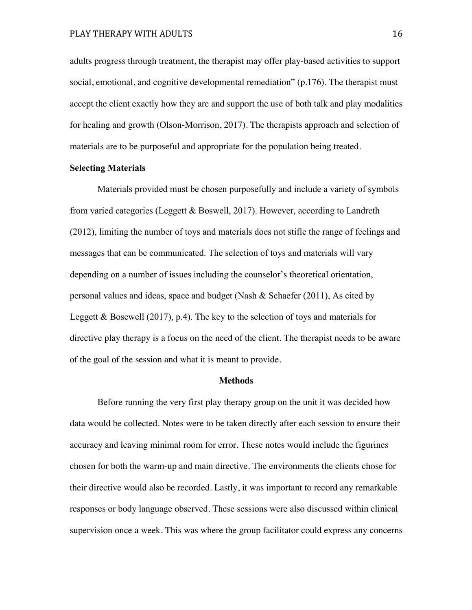adults progress through treatment, the therapist may offer play-based activities to support social, emotional, and cognitive developmental remediation" (p.176). The therapist must accept the client exactly how they are and support the use of both talk and play modalities for healing and growth (Olson-Morrison, 2017). The therapists approach and selection of materials are to be purposeful and appropriate for the population being treated.

#### **Selecting Materials**

Materials provided must be chosen purposefully and include a variety of symbols from varied categories (Leggett & Boswell, 2017). However, according to Landreth (2012), limiting the number of toys and materials does not stifle the range of feelings and messages that can be communicated. The selection of toys and materials will vary depending on a number of issues including the counselor's theoretical orientation, personal values and ideas, space and budget (Nash & Schaefer (2011), As cited by Leggett & Bosewell (2017), p.4). The key to the selection of toys and materials for directive play therapy is a focus on the need of the client. The therapist needs to be aware of the goal of the session and what it is meant to provide.

## **Methods**

Before running the very first play therapy group on the unit it was decided how data would be collected. Notes were to be taken directly after each session to ensure their accuracy and leaving minimal room for error. These notes would include the figurines chosen for both the warm-up and main directive. The environments the clients chose for their directive would also be recorded. Lastly, it was important to record any remarkable responses or body language observed. These sessions were also discussed within clinical supervision once a week. This was where the group facilitator could express any concerns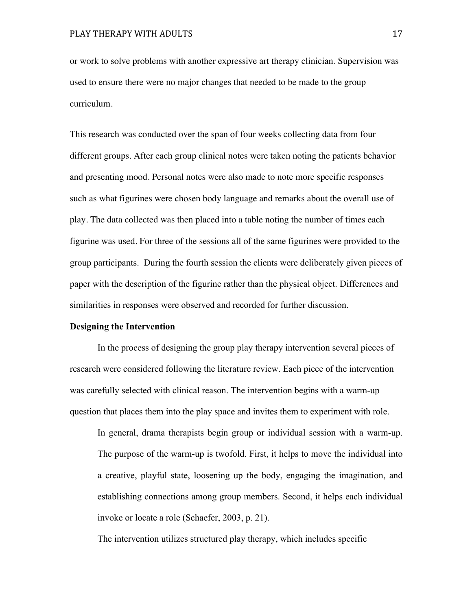or work to solve problems with another expressive art therapy clinician. Supervision was used to ensure there were no major changes that needed to be made to the group curriculum.

This research was conducted over the span of four weeks collecting data from four different groups. After each group clinical notes were taken noting the patients behavior and presenting mood. Personal notes were also made to note more specific responses such as what figurines were chosen body language and remarks about the overall use of play. The data collected was then placed into a table noting the number of times each figurine was used. For three of the sessions all of the same figurines were provided to the group participants. During the fourth session the clients were deliberately given pieces of paper with the description of the figurine rather than the physical object. Differences and similarities in responses were observed and recorded for further discussion.

## **Designing the Intervention**

In the process of designing the group play therapy intervention several pieces of research were considered following the literature review. Each piece of the intervention was carefully selected with clinical reason. The intervention begins with a warm-up question that places them into the play space and invites them to experiment with role.

In general, drama therapists begin group or individual session with a warm-up. The purpose of the warm-up is twofold. First, it helps to move the individual into a creative, playful state, loosening up the body, engaging the imagination, and establishing connections among group members. Second, it helps each individual invoke or locate a role (Schaefer, 2003, p. 21).

The intervention utilizes structured play therapy, which includes specific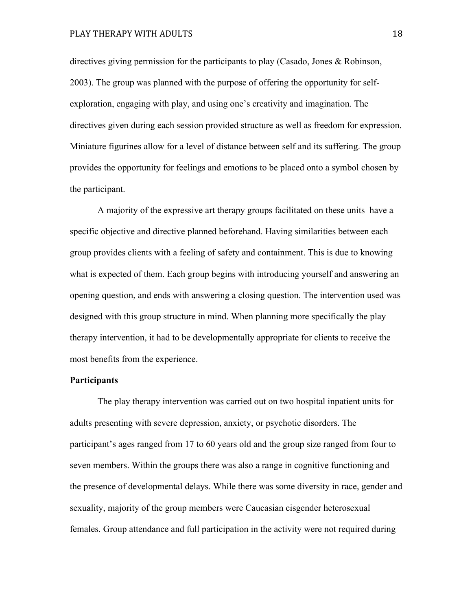directives giving permission for the participants to play (Casado, Jones & Robinson, 2003). The group was planned with the purpose of offering the opportunity for selfexploration, engaging with play, and using one's creativity and imagination. The directives given during each session provided structure as well as freedom for expression. Miniature figurines allow for a level of distance between self and its suffering. The group provides the opportunity for feelings and emotions to be placed onto a symbol chosen by the participant.

A majority of the expressive art therapy groups facilitated on these units have a specific objective and directive planned beforehand. Having similarities between each group provides clients with a feeling of safety and containment. This is due to knowing what is expected of them. Each group begins with introducing yourself and answering an opening question, and ends with answering a closing question. The intervention used was designed with this group structure in mind. When planning more specifically the play therapy intervention, it had to be developmentally appropriate for clients to receive the most benefits from the experience.

#### **Participants**

The play therapy intervention was carried out on two hospital inpatient units for adults presenting with severe depression, anxiety, or psychotic disorders. The participant's ages ranged from 17 to 60 years old and the group size ranged from four to seven members. Within the groups there was also a range in cognitive functioning and the presence of developmental delays. While there was some diversity in race, gender and sexuality, majority of the group members were Caucasian cisgender heterosexual females. Group attendance and full participation in the activity were not required during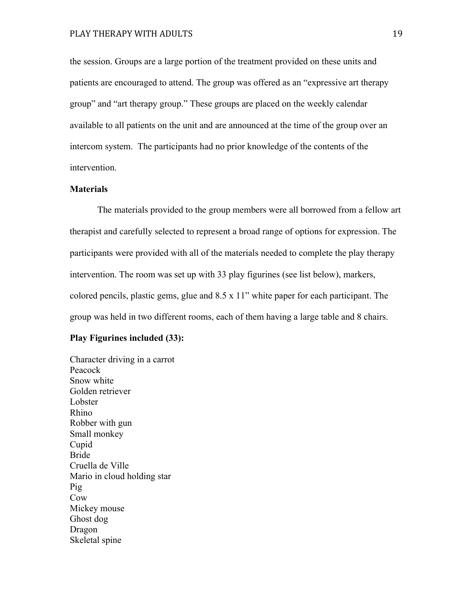the session. Groups are a large portion of the treatment provided on these units and patients are encouraged to attend. The group was offered as an "expressive art therapy group" and "art therapy group." These groups are placed on the weekly calendar available to all patients on the unit and are announced at the time of the group over an intercom system. The participants had no prior knowledge of the contents of the intervention.

## **Materials**

The materials provided to the group members were all borrowed from a fellow art therapist and carefully selected to represent a broad range of options for expression. The participants were provided with all of the materials needed to complete the play therapy intervention. The room was set up with 33 play figurines (see list below), markers, colored pencils, plastic gems, glue and 8.5 x 11" white paper for each participant. The group was held in two different rooms, each of them having a large table and 8 chairs.

## **Play Figurines included (33):**

Character driving in a carrot Peacock Snow white Golden retriever Lobster Rhino Robber with gun Small monkey Cupid Bride Cruella de Ville Mario in cloud holding star Pig Cow Mickey mouse Ghost dog Dragon Skeletal spine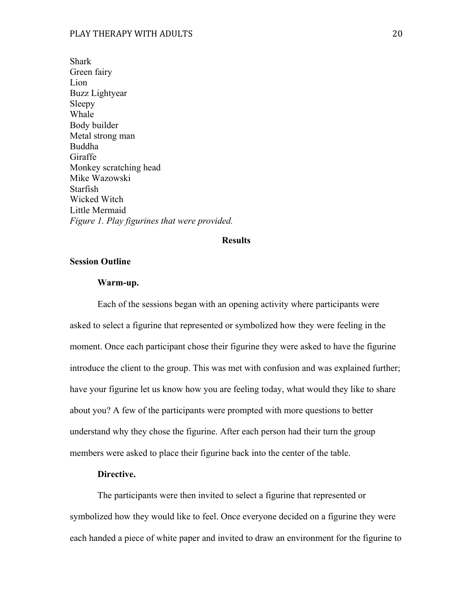Shark Green fairy Lion Buzz Lightyear Sleepy Whale Body builder Metal strong man Buddha Giraffe Monkey scratching head Mike Wazowski Starfish Wicked Witch Little Mermaid *Figure 1. Play figurines that were provided.*

## **Results**

## **Session Outline**

#### **Warm-up.**

Each of the sessions began with an opening activity where participants were asked to select a figurine that represented or symbolized how they were feeling in the moment. Once each participant chose their figurine they were asked to have the figurine introduce the client to the group. This was met with confusion and was explained further; have your figurine let us know how you are feeling today, what would they like to share about you? A few of the participants were prompted with more questions to better understand why they chose the figurine. After each person had their turn the group members were asked to place their figurine back into the center of the table.

## **Directive.**

The participants were then invited to select a figurine that represented or symbolized how they would like to feel. Once everyone decided on a figurine they were each handed a piece of white paper and invited to draw an environment for the figurine to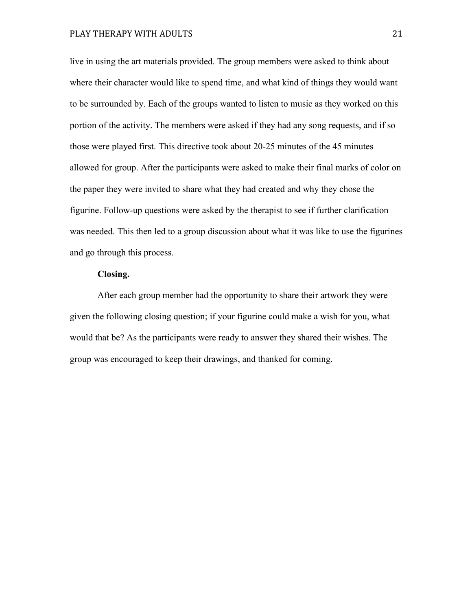live in using the art materials provided. The group members were asked to think about where their character would like to spend time, and what kind of things they would want to be surrounded by. Each of the groups wanted to listen to music as they worked on this portion of the activity. The members were asked if they had any song requests, and if so those were played first. This directive took about 20-25 minutes of the 45 minutes allowed for group. After the participants were asked to make their final marks of color on the paper they were invited to share what they had created and why they chose the figurine. Follow-up questions were asked by the therapist to see if further clarification was needed. This then led to a group discussion about what it was like to use the figurines and go through this process.

## **Closing.**

After each group member had the opportunity to share their artwork they were given the following closing question; if your figurine could make a wish for you, what would that be? As the participants were ready to answer they shared their wishes. The group was encouraged to keep their drawings, and thanked for coming.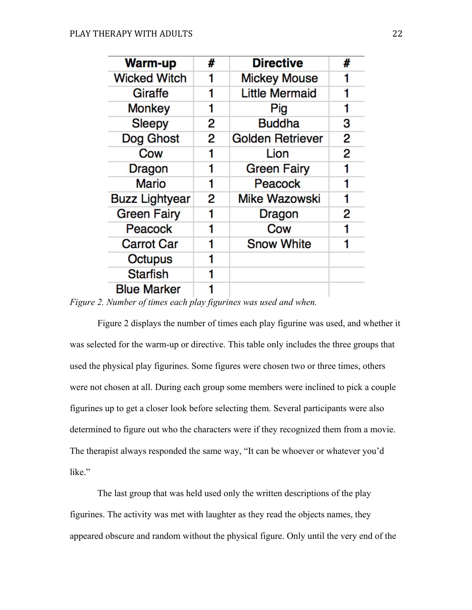| <b>Warm-up</b>        | # | <b>Directive</b>        | # |
|-----------------------|---|-------------------------|---|
| <b>Wicked Witch</b>   |   | <b>Mickey Mouse</b>     | 1 |
| Giraffe               |   | <b>Little Mermaid</b>   |   |
| <b>Monkey</b>         |   | Pig                     |   |
| <b>Sleepy</b>         | 2 | <b>Buddha</b>           | 3 |
| Dog Ghost             | 2 | <b>Golden Retriever</b> | 2 |
| Cow                   |   | Lion                    | 2 |
| Dragon                | 1 | <b>Green Fairy</b>      | 1 |
| Mario                 |   | Peacock                 |   |
| <b>Buzz Lightyear</b> | 2 | Mike Wazowski           | 1 |
| <b>Green Fairy</b>    |   | Dragon                  | 2 |
| Peacock               |   | Cow                     |   |
| <b>Carrot Car</b>     |   | <b>Snow White</b>       | 1 |
| Octupus               |   |                         |   |
| <b>Starfish</b>       |   |                         |   |
| <b>Blue Marker</b>    |   |                         |   |

*Figure 2. Number of times each play figurines was used and when.* 

Figure 2 displays the number of times each play figurine was used, and whether it was selected for the warm-up or directive. This table only includes the three groups that used the physical play figurines. Some figures were chosen two or three times, others were not chosen at all. During each group some members were inclined to pick a couple figurines up to get a closer look before selecting them. Several participants were also determined to figure out who the characters were if they recognized them from a movie. The therapist always responded the same way, "It can be whoever or whatever you'd like."

The last group that was held used only the written descriptions of the play figurines. The activity was met with laughter as they read the objects names, they appeared obscure and random without the physical figure. Only until the very end of the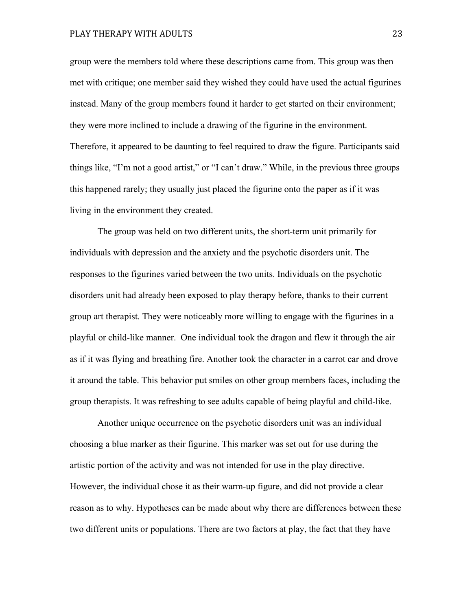group were the members told where these descriptions came from. This group was then met with critique; one member said they wished they could have used the actual figurines instead. Many of the group members found it harder to get started on their environment; they were more inclined to include a drawing of the figurine in the environment. Therefore, it appeared to be daunting to feel required to draw the figure. Participants said things like, "I'm not a good artist," or "I can't draw." While, in the previous three groups this happened rarely; they usually just placed the figurine onto the paper as if it was living in the environment they created.

The group was held on two different units, the short-term unit primarily for individuals with depression and the anxiety and the psychotic disorders unit. The responses to the figurines varied between the two units. Individuals on the psychotic disorders unit had already been exposed to play therapy before, thanks to their current group art therapist. They were noticeably more willing to engage with the figurines in a playful or child-like manner. One individual took the dragon and flew it through the air as if it was flying and breathing fire. Another took the character in a carrot car and drove it around the table. This behavior put smiles on other group members faces, including the group therapists. It was refreshing to see adults capable of being playful and child-like.

Another unique occurrence on the psychotic disorders unit was an individual choosing a blue marker as their figurine. This marker was set out for use during the artistic portion of the activity and was not intended for use in the play directive. However, the individual chose it as their warm-up figure, and did not provide a clear reason as to why. Hypotheses can be made about why there are differences between these two different units or populations. There are two factors at play, the fact that they have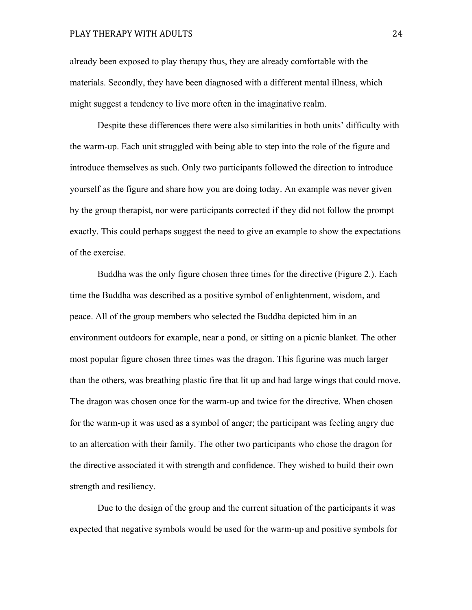already been exposed to play therapy thus, they are already comfortable with the materials. Secondly, they have been diagnosed with a different mental illness, which might suggest a tendency to live more often in the imaginative realm.

Despite these differences there were also similarities in both units' difficulty with the warm-up. Each unit struggled with being able to step into the role of the figure and introduce themselves as such. Only two participants followed the direction to introduce yourself as the figure and share how you are doing today. An example was never given by the group therapist, nor were participants corrected if they did not follow the prompt exactly. This could perhaps suggest the need to give an example to show the expectations of the exercise.

Buddha was the only figure chosen three times for the directive (Figure 2.). Each time the Buddha was described as a positive symbol of enlightenment, wisdom, and peace. All of the group members who selected the Buddha depicted him in an environment outdoors for example, near a pond, or sitting on a picnic blanket. The other most popular figure chosen three times was the dragon. This figurine was much larger than the others, was breathing plastic fire that lit up and had large wings that could move. The dragon was chosen once for the warm-up and twice for the directive. When chosen for the warm-up it was used as a symbol of anger; the participant was feeling angry due to an altercation with their family. The other two participants who chose the dragon for the directive associated it with strength and confidence. They wished to build their own strength and resiliency.

Due to the design of the group and the current situation of the participants it was expected that negative symbols would be used for the warm-up and positive symbols for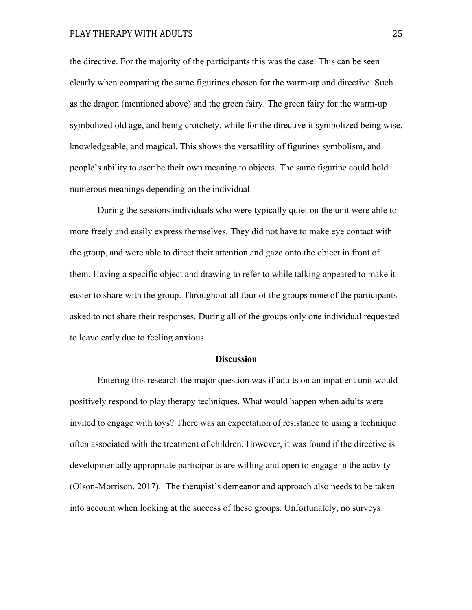the directive. For the majority of the participants this was the case. This can be seen clearly when comparing the same figurines chosen for the warm-up and directive. Such as the dragon (mentioned above) and the green fairy. The green fairy for the warm-up symbolized old age, and being crotchety, while for the directive it symbolized being wise, knowledgeable, and magical. This shows the versatility of figurines symbolism, and people's ability to ascribe their own meaning to objects. The same figurine could hold numerous meanings depending on the individual.

During the sessions individuals who were typically quiet on the unit were able to more freely and easily express themselves. They did not have to make eye contact with the group, and were able to direct their attention and gaze onto the object in front of them. Having a specific object and drawing to refer to while talking appeared to make it easier to share with the group. Throughout all four of the groups none of the participants asked to not share their responses. During all of the groups only one individual requested to leave early due to feeling anxious.

#### **Discussion**

Entering this research the major question was if adults on an inpatient unit would positively respond to play therapy techniques. What would happen when adults were invited to engage with toys? There was an expectation of resistance to using a technique often associated with the treatment of children. However, it was found if the directive is developmentally appropriate participants are willing and open to engage in the activity (Olson-Morrison, 2017). The therapist's demeanor and approach also needs to be taken into account when looking at the success of these groups. Unfortunately, no surveys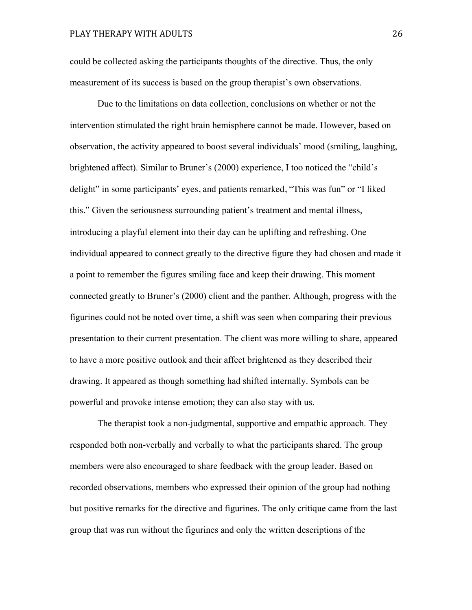could be collected asking the participants thoughts of the directive. Thus, the only measurement of its success is based on the group therapist's own observations.

Due to the limitations on data collection, conclusions on whether or not the intervention stimulated the right brain hemisphere cannot be made. However, based on observation, the activity appeared to boost several individuals' mood (smiling, laughing, brightened affect). Similar to Bruner's (2000) experience, I too noticed the "child's delight" in some participants' eyes, and patients remarked, "This was fun" or "I liked this." Given the seriousness surrounding patient's treatment and mental illness, introducing a playful element into their day can be uplifting and refreshing. One individual appeared to connect greatly to the directive figure they had chosen and made it a point to remember the figures smiling face and keep their drawing. This moment connected greatly to Bruner's (2000) client and the panther. Although, progress with the figurines could not be noted over time, a shift was seen when comparing their previous presentation to their current presentation. The client was more willing to share, appeared to have a more positive outlook and their affect brightened as they described their drawing. It appeared as though something had shifted internally. Symbols can be powerful and provoke intense emotion; they can also stay with us.

The therapist took a non-judgmental, supportive and empathic approach. They responded both non-verbally and verbally to what the participants shared. The group members were also encouraged to share feedback with the group leader. Based on recorded observations, members who expressed their opinion of the group had nothing but positive remarks for the directive and figurines. The only critique came from the last group that was run without the figurines and only the written descriptions of the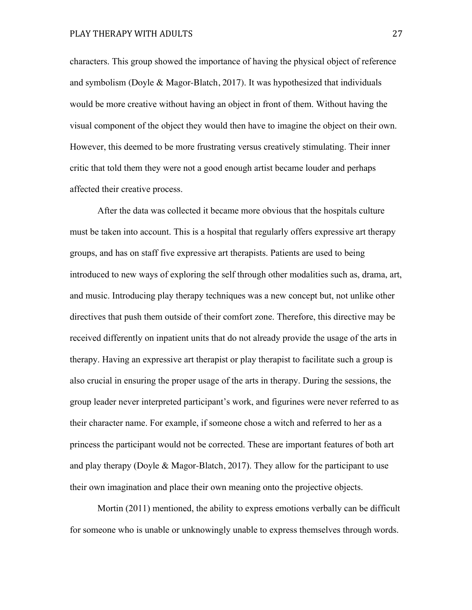characters. This group showed the importance of having the physical object of reference and symbolism (Doyle & Magor-Blatch, 2017). It was hypothesized that individuals would be more creative without having an object in front of them. Without having the visual component of the object they would then have to imagine the object on their own. However, this deemed to be more frustrating versus creatively stimulating. Their inner critic that told them they were not a good enough artist became louder and perhaps affected their creative process.

After the data was collected it became more obvious that the hospitals culture must be taken into account. This is a hospital that regularly offers expressive art therapy groups, and has on staff five expressive art therapists. Patients are used to being introduced to new ways of exploring the self through other modalities such as, drama, art, and music. Introducing play therapy techniques was a new concept but, not unlike other directives that push them outside of their comfort zone. Therefore, this directive may be received differently on inpatient units that do not already provide the usage of the arts in therapy. Having an expressive art therapist or play therapist to facilitate such a group is also crucial in ensuring the proper usage of the arts in therapy. During the sessions, the group leader never interpreted participant's work, and figurines were never referred to as their character name. For example, if someone chose a witch and referred to her as a princess the participant would not be corrected. These are important features of both art and play therapy (Doyle & Magor-Blatch, 2017). They allow for the participant to use their own imagination and place their own meaning onto the projective objects.

Mortin (2011) mentioned, the ability to express emotions verbally can be difficult for someone who is unable or unknowingly unable to express themselves through words.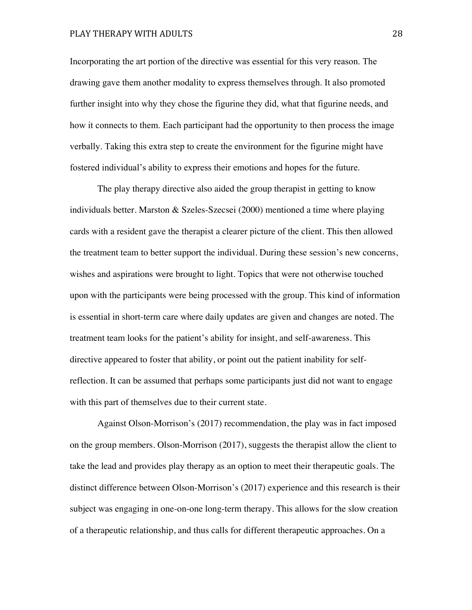Incorporating the art portion of the directive was essential for this very reason. The drawing gave them another modality to express themselves through. It also promoted further insight into why they chose the figurine they did, what that figurine needs, and how it connects to them. Each participant had the opportunity to then process the image verbally. Taking this extra step to create the environment for the figurine might have fostered individual's ability to express their emotions and hopes for the future.

The play therapy directive also aided the group therapist in getting to know individuals better. Marston & Szeles-Szecsei (2000) mentioned a time where playing cards with a resident gave the therapist a clearer picture of the client. This then allowed the treatment team to better support the individual. During these session's new concerns, wishes and aspirations were brought to light. Topics that were not otherwise touched upon with the participants were being processed with the group. This kind of information is essential in short-term care where daily updates are given and changes are noted. The treatment team looks for the patient's ability for insight, and self-awareness. This directive appeared to foster that ability, or point out the patient inability for selfreflection. It can be assumed that perhaps some participants just did not want to engage with this part of themselves due to their current state.

Against Olson-Morrison's (2017) recommendation, the play was in fact imposed on the group members. Olson-Morrison (2017), suggests the therapist allow the client to take the lead and provides play therapy as an option to meet their therapeutic goals. The distinct difference between Olson-Morrison's (2017) experience and this research is their subject was engaging in one-on-one long-term therapy. This allows for the slow creation of a therapeutic relationship, and thus calls for different therapeutic approaches. On a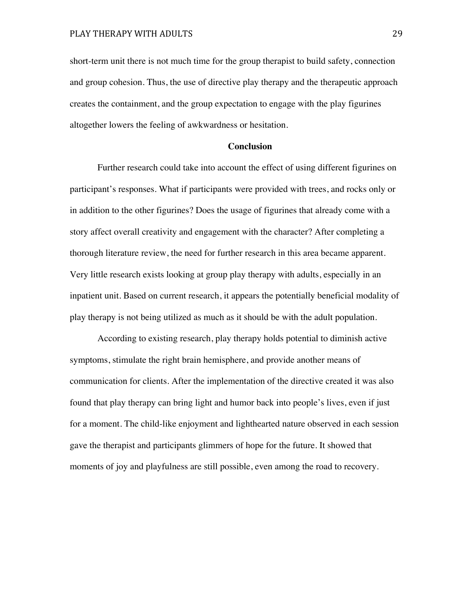short-term unit there is not much time for the group therapist to build safety, connection and group cohesion. Thus, the use of directive play therapy and the therapeutic approach creates the containment, and the group expectation to engage with the play figurines altogether lowers the feeling of awkwardness or hesitation.

#### **Conclusion**

Further research could take into account the effect of using different figurines on participant's responses. What if participants were provided with trees, and rocks only or in addition to the other figurines? Does the usage of figurines that already come with a story affect overall creativity and engagement with the character? After completing a thorough literature review, the need for further research in this area became apparent. Very little research exists looking at group play therapy with adults, especially in an inpatient unit. Based on current research, it appears the potentially beneficial modality of play therapy is not being utilized as much as it should be with the adult population.

According to existing research, play therapy holds potential to diminish active symptoms, stimulate the right brain hemisphere, and provide another means of communication for clients. After the implementation of the directive created it was also found that play therapy can bring light and humor back into people's lives, even if just for a moment. The child-like enjoyment and lighthearted nature observed in each session gave the therapist and participants glimmers of hope for the future. It showed that moments of joy and playfulness are still possible, even among the road to recovery.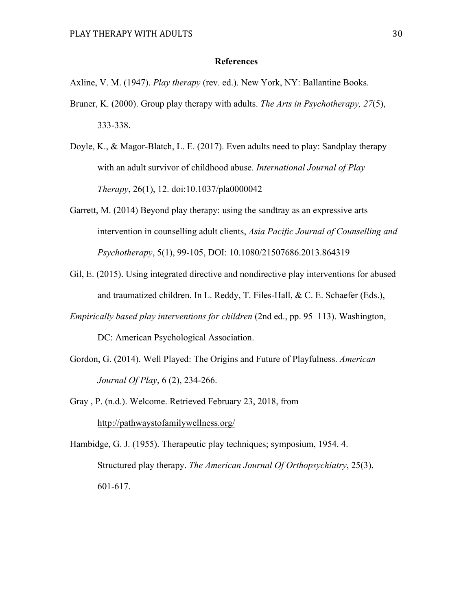#### **References**

Axline, V. M. (1947). *Play therapy* (rev. ed.). New York, NY: Ballantine Books.

- Bruner, K. (2000). Group play therapy with adults. *The Arts in Psychotherapy, 27*(5), 333-338.
- Doyle, K., & Magor-Blatch, L. E. (2017). Even adults need to play: Sandplay therapy with an adult survivor of childhood abuse. *International Journal of Play Therapy*, 26(1), 12. doi:10.1037/pla0000042
- Garrett, M. (2014) Beyond play therapy: using the sandtray as an expressive arts intervention in counselling adult clients, *Asia Pacific Journal of Counselling and Psychotherapy*, 5(1), 99-105, DOI: 10.1080/21507686.2013.864319
- Gil, E. (2015). Using integrated directive and nondirective play interventions for abused and traumatized children. In L. Reddy, T. Files-Hall, & C. E. Schaefer (Eds.),
- *Empirically based play interventions for children* (2nd ed., pp. 95–113). Washington, DC: American Psychological Association.
- Gordon, G. (2014). Well Played: The Origins and Future of Playfulness. *American Journal Of Play*, 6 (2), 234-266.
- Gray , P. (n.d.). Welcome. Retrieved February 23, 2018, from http://pathwaystofamilywellness.org/

Hambidge, G. J. (1955). Therapeutic play techniques; symposium, 1954. 4. Structured play therapy. *The American Journal Of Orthopsychiatry*, 25(3), 601-617.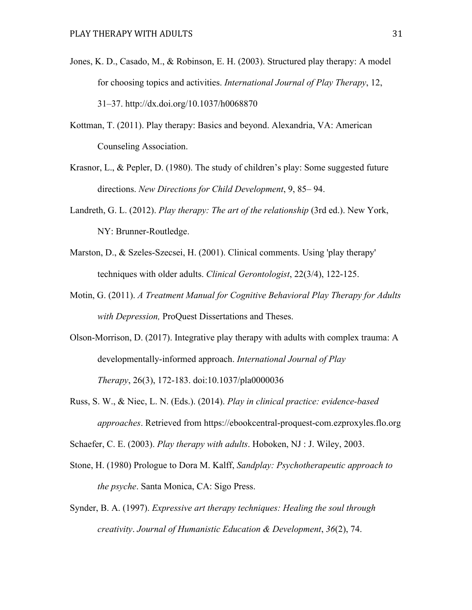- Jones, K. D., Casado, M., & Robinson, E. H. (2003). Structured play therapy: A model for choosing topics and activities. *International Journal of Play Therapy*, 12, 31–37. http://dx.doi.org/10.1037/h0068870
- Kottman, T. (2011). Play therapy: Basics and beyond. Alexandria, VA: American Counseling Association.
- Krasnor, L., & Pepler, D. (1980). The study of children's play: Some suggested future directions. *New Directions for Child Development*, 9, 85– 94.
- Landreth, G. L. (2012). *Play therapy: The art of the relationship* (3rd ed.). New York, NY: Brunner-Routledge.
- Marston, D., & Szeles-Szecsei, H. (2001). Clinical comments. Using 'play therapy' techniques with older adults. *Clinical Gerontologist*, 22(3/4), 122-125.
- Motin, G. (2011). *A Treatment Manual for Cognitive Behavioral Play Therapy for Adults with Depression,* ProQuest Dissertations and Theses.
- Olson-Morrison, D. (2017). Integrative play therapy with adults with complex trauma: A developmentally-informed approach. *International Journal of Play Therapy*, 26(3), 172-183. doi:10.1037/pla0000036
- Russ, S. W., & Niec, L. N. (Eds.). (2014). *Play in clinical practice: evidence-based approaches*. Retrieved from https://ebookcentral-proquest-com.ezproxyles.flo.org

Schaefer, C. E. (2003). *Play therapy with adults*. Hoboken, NJ : J. Wiley, 2003.

- Stone, H. (1980) Prologue to Dora M. Kalff, *Sandplay: Psychotherapeutic approach to the psyche*. Santa Monica, CA: Sigo Press.
- Synder, B. A. (1997). *Expressive art therapy techniques: Healing the soul through creativity*. *Journal of Humanistic Education & Development*, *36*(2), 74.